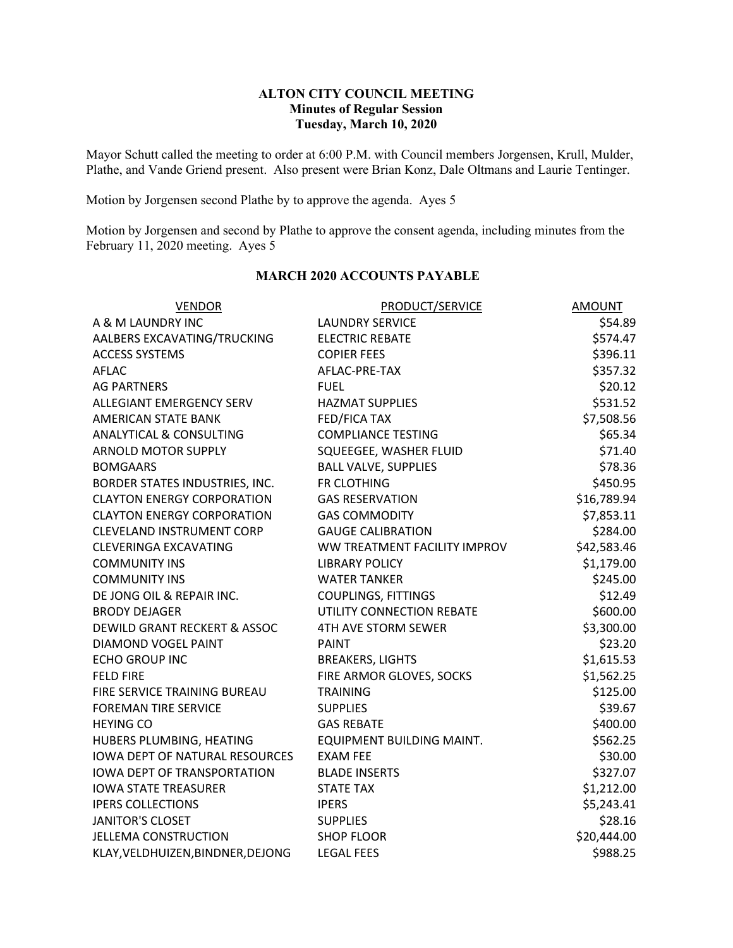## **ALTON CITY COUNCIL MEETING Minutes of Regular Session Tuesday, March 10, 2020**

Mayor Schutt called the meeting to order at 6:00 P.M. with Council members Jorgensen, Krull, Mulder, Plathe, and Vande Griend present. Also present were Brian Konz, Dale Oltmans and Laurie Tentinger.

Motion by Jorgensen second Plathe by to approve the agenda. Ayes 5

Motion by Jorgensen and second by Plathe to approve the consent agenda, including minutes from the February 11, 2020 meeting. Ayes 5

| <b>VENDOR</b>                           | <b>PRODUCT/SERVICE</b>       | <b>AMOUNT</b> |
|-----------------------------------------|------------------------------|---------------|
| A & M LAUNDRY INC                       | <b>LAUNDRY SERVICE</b>       | \$54.89       |
| AALBERS EXCAVATING/TRUCKING             | <b>ELECTRIC REBATE</b>       | \$574.47      |
| <b>ACCESS SYSTEMS</b>                   | <b>COPIER FEES</b>           | \$396.11      |
| <b>AFLAC</b>                            | AFLAC-PRE-TAX                | \$357.32      |
| <b>AG PARTNERS</b>                      | <b>FUEL</b>                  | \$20.12       |
| <b>ALLEGIANT EMERGENCY SERV</b>         | <b>HAZMAT SUPPLIES</b>       | \$531.52      |
| <b>AMERICAN STATE BANK</b>              | <b>FED/FICA TAX</b>          | \$7,508.56    |
| <b>ANALYTICAL &amp; CONSULTING</b>      | <b>COMPLIANCE TESTING</b>    | \$65.34       |
| <b>ARNOLD MOTOR SUPPLY</b>              | SQUEEGEE, WASHER FLUID       | \$71.40       |
| <b>BOMGAARS</b>                         | <b>BALL VALVE, SUPPLIES</b>  | \$78.36       |
| BORDER STATES INDUSTRIES, INC.          | FR CLOTHING                  | \$450.95      |
| <b>CLAYTON ENERGY CORPORATION</b>       | <b>GAS RESERVATION</b>       | \$16,789.94   |
| <b>CLAYTON ENERGY CORPORATION</b>       | <b>GAS COMMODITY</b>         | \$7,853.11    |
| <b>CLEVELAND INSTRUMENT CORP</b>        | <b>GAUGE CALIBRATION</b>     | \$284.00      |
| <b>CLEVERINGA EXCAVATING</b>            | WW TREATMENT FACILITY IMPROV | \$42,583.46   |
| <b>COMMUNITY INS</b>                    | <b>LIBRARY POLICY</b>        | \$1,179.00    |
| <b>COMMUNITY INS</b>                    | <b>WATER TANKER</b>          | \$245.00      |
| DE JONG OIL & REPAIR INC.               | COUPLINGS, FITTINGS          | \$12.49       |
| <b>BRODY DEJAGER</b>                    | UTILITY CONNECTION REBATE    | \$600.00      |
| <b>DEWILD GRANT RECKERT &amp; ASSOC</b> | 4TH AVE STORM SEWER          | \$3,300.00    |
| DIAMOND VOGEL PAINT                     | <b>PAINT</b>                 | \$23.20       |
| ECHO GROUP INC                          | <b>BREAKERS, LIGHTS</b>      | \$1,615.53    |
| <b>FELD FIRE</b>                        | FIRE ARMOR GLOVES, SOCKS     | \$1,562.25    |
| FIRE SERVICE TRAINING BUREAU            | <b>TRAINING</b>              | \$125.00      |
| <b>FOREMAN TIRE SERVICE</b>             | <b>SUPPLIES</b>              | \$39.67       |
| <b>HEYING CO</b>                        | <b>GAS REBATE</b>            | \$400.00      |
| HUBERS PLUMBING, HEATING                | EQUIPMENT BUILDING MAINT.    | \$562.25      |
| <b>IOWA DEPT OF NATURAL RESOURCES</b>   | <b>EXAM FEE</b>              | \$30.00       |
| <b>IOWA DEPT OF TRANSPORTATION</b>      | <b>BLADE INSERTS</b>         | \$327.07      |
| <b>IOWA STATE TREASURER</b>             | <b>STATE TAX</b>             | \$1,212.00    |
| <b>IPERS COLLECTIONS</b>                | <b>IPERS</b>                 | \$5,243.41    |
| <b>JANITOR'S CLOSET</b>                 | <b>SUPPLIES</b>              | \$28.16       |
| <b>JELLEMA CONSTRUCTION</b>             | <b>SHOP FLOOR</b>            | \$20,444.00   |
| KLAY, VELDHUIZEN, BINDNER, DEJONG       | <b>LEGAL FEES</b>            | \$988.25      |

## **MARCH 2020 ACCOUNTS PAYABLE**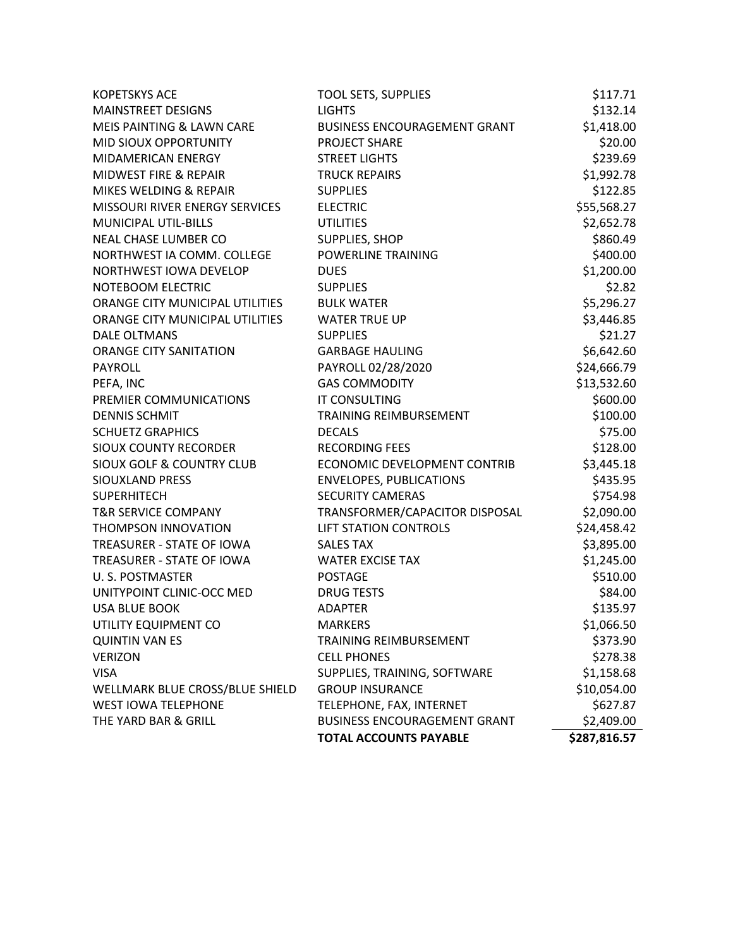|                                      | <b>TOTAL ACCOUNTS PAYABLE</b>       | \$287,816.57 |
|--------------------------------------|-------------------------------------|--------------|
| THE YARD BAR & GRILL                 | <b>BUSINESS ENCOURAGEMENT GRANT</b> | \$2,409.00   |
| <b>WEST IOWA TELEPHONE</b>           | TELEPHONE, FAX, INTERNET            | \$627.87     |
| WELLMARK BLUE CROSS/BLUE SHIELD      | <b>GROUP INSURANCE</b>              | \$10,054.00  |
| <b>VISA</b>                          | SUPPLIES, TRAINING, SOFTWARE        | \$1,158.68   |
| <b>VERIZON</b>                       | <b>CELL PHONES</b>                  | \$278.38     |
| <b>QUINTIN VAN ES</b>                | <b>TRAINING REIMBURSEMENT</b>       | \$373.90     |
| UTILITY EQUIPMENT CO                 | <b>MARKERS</b>                      | \$1,066.50   |
| <b>USA BLUE BOOK</b>                 | <b>ADAPTER</b>                      | \$135.97     |
| UNITYPOINT CLINIC-OCC MED            | <b>DRUG TESTS</b>                   | \$84.00      |
| U. S. POSTMASTER                     | <b>POSTAGE</b>                      | \$510.00     |
| TREASURER - STATE OF IOWA            | <b>WATER EXCISE TAX</b>             | \$1,245.00   |
| TREASURER - STATE OF IOWA            | <b>SALES TAX</b>                    | \$3,895.00   |
| THOMPSON INNOVATION                  | <b>LIFT STATION CONTROLS</b>        | \$24,458.42  |
| <b>T&amp;R SERVICE COMPANY</b>       | TRANSFORMER/CAPACITOR DISPOSAL      | \$2,090.00   |
| <b>SUPERHITECH</b>                   | <b>SECURITY CAMERAS</b>             | \$754.98     |
| SIOUXLAND PRESS                      | <b>ENVELOPES, PUBLICATIONS</b>      | \$435.95     |
| <b>SIOUX GOLF &amp; COUNTRY CLUB</b> | ECONOMIC DEVELOPMENT CONTRIB        | \$3,445.18   |
| <b>SIOUX COUNTY RECORDER</b>         | <b>RECORDING FEES</b>               | \$128.00     |
| <b>SCHUETZ GRAPHICS</b>              | <b>DECALS</b>                       | \$75.00      |
| <b>DENNIS SCHMIT</b>                 | <b>TRAINING REIMBURSEMENT</b>       | \$100.00     |
| PREMIER COMMUNICATIONS               | <b>IT CONSULTING</b>                | \$600.00     |
| PEFA, INC                            | <b>GAS COMMODITY</b>                | \$13,532.60  |
| <b>PAYROLL</b>                       | PAYROLL 02/28/2020                  | \$24,666.79  |
| <b>ORANGE CITY SANITATION</b>        | <b>GARBAGE HAULING</b>              | \$6,642.60   |
| <b>DALE OLTMANS</b>                  | <b>SUPPLIES</b>                     | \$21.27      |
| ORANGE CITY MUNICIPAL UTILITIES      | <b>WATER TRUE UP</b>                | \$3,446.85   |
| ORANGE CITY MUNICIPAL UTILITIES      | <b>BULK WATER</b>                   | \$5,296.27   |
| NOTEBOOM ELECTRIC                    | <b>SUPPLIES</b>                     | \$2.82       |
| NORTHWEST IOWA DEVELOP               | <b>DUES</b>                         | \$1,200.00   |
| NORTHWEST IA COMM. COLLEGE           | <b>POWERLINE TRAINING</b>           | \$400.00     |
| NEAL CHASE LUMBER CO                 | SUPPLIES, SHOP                      | \$860.49     |
| <b>MUNICIPAL UTIL-BILLS</b>          | <b>UTILITIES</b>                    | \$2,652.78   |
| MISSOURI RIVER ENERGY SERVICES       | <b>ELECTRIC</b>                     | \$55,568.27  |
| MIKES WELDING & REPAIR               | <b>SUPPLIES</b>                     | \$122.85     |
| MIDWEST FIRE & REPAIR                | <b>TRUCK REPAIRS</b>                | \$1,992.78   |
| MIDAMERICAN ENERGY                   | <b>STREET LIGHTS</b>                | \$239.69     |
| MID SIOUX OPPORTUNITY                | PROJECT SHARE                       | \$20.00      |
| MEIS PAINTING & LAWN CARE            | <b>BUSINESS ENCOURAGEMENT GRANT</b> | \$1,418.00   |
| <b>MAINSTREET DESIGNS</b>            | <b>LIGHTS</b>                       | \$132.14     |
| <b>KOPETSKYS ACE</b>                 | <b>TOOL SETS, SUPPLIES</b>          | \$117.71     |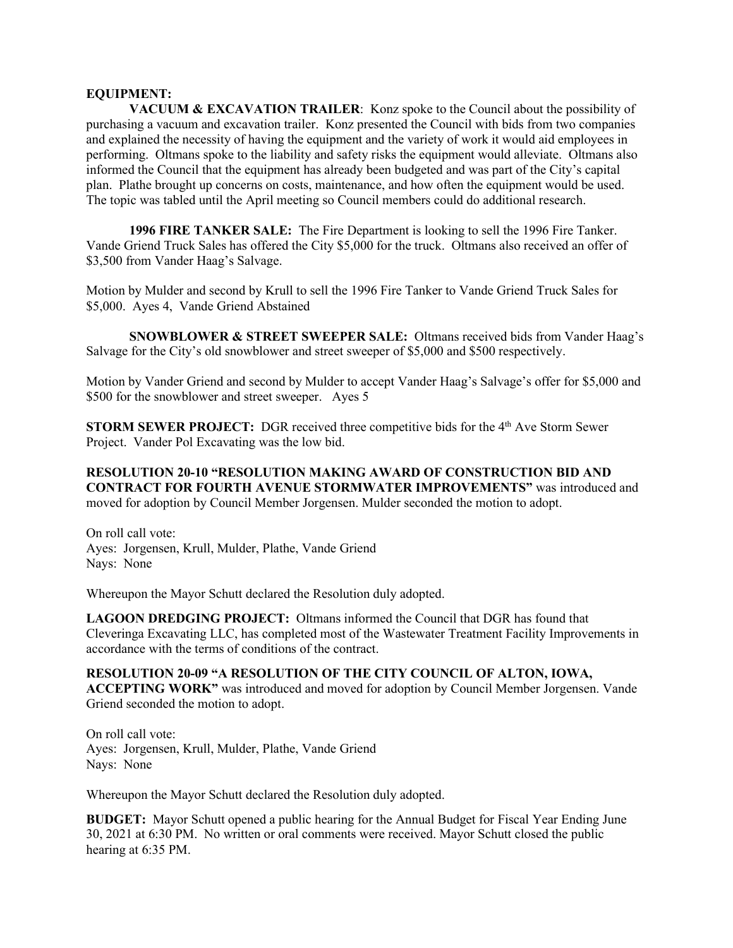## **EQUIPMENT:**

**VACUUM & EXCAVATION TRAILER:** Konz spoke to the Council about the possibility of purchasing a vacuum and excavation trailer. Konz presented the Council with bids from two companies and explained the necessity of having the equipment and the variety of work it would aid employees in performing. Oltmans spoke to the liability and safety risks the equipment would alleviate. Oltmans also informed the Council that the equipment has already been budgeted and was part of the City's capital plan. Plathe brought up concerns on costs, maintenance, and how often the equipment would be used. The topic was tabled until the April meeting so Council members could do additional research.

**1996 FIRE TANKER SALE:** The Fire Department is looking to sell the 1996 Fire Tanker. Vande Griend Truck Sales has offered the City \$5,000 for the truck. Oltmans also received an offer of \$3,500 from Vander Haag's Salvage.

Motion by Mulder and second by Krull to sell the 1996 Fire Tanker to Vande Griend Truck Sales for \$5,000. Ayes 4, Vande Griend Abstained

**SNOWBLOWER & STREET SWEEPER SALE:** Oltmans received bids from Vander Haag's Salvage for the City's old snowblower and street sweeper of \$5,000 and \$500 respectively.

Motion by Vander Griend and second by Mulder to accept Vander Haag's Salvage's offer for \$5,000 and \$500 for the snowblower and street sweeper. Ayes 5

**STORM SEWER PROJECT:** DGR received three competitive bids for the 4<sup>th</sup> Ave Storm Sewer Project. Vander Pol Excavating was the low bid.

**RESOLUTION 20-10 "RESOLUTION MAKING AWARD OF CONSTRUCTION BID AND CONTRACT FOR FOURTH AVENUE STORMWATER IMPROVEMENTS"** was introduced and moved for adoption by Council Member Jorgensen. Mulder seconded the motion to adopt.

On roll call vote: Ayes: Jorgensen, Krull, Mulder, Plathe, Vande Griend Nays: None

Whereupon the Mayor Schutt declared the Resolution duly adopted.

**LAGOON DREDGING PROJECT:** Oltmans informed the Council that DGR has found that Cleveringa Excavating LLC, has completed most of the Wastewater Treatment Facility Improvements in accordance with the terms of conditions of the contract.

**RESOLUTION 20-09 "A RESOLUTION OF THE CITY COUNCIL OF ALTON, IOWA, ACCEPTING WORK"** was introduced and moved for adoption by Council Member Jorgensen. Vande Griend seconded the motion to adopt.

On roll call vote: Ayes: Jorgensen, Krull, Mulder, Plathe, Vande Griend Nays: None

Whereupon the Mayor Schutt declared the Resolution duly adopted.

**BUDGET:** Mayor Schutt opened a public hearing for the Annual Budget for Fiscal Year Ending June 30, 2021 at 6:30 PM. No written or oral comments were received. Mayor Schutt closed the public hearing at 6:35 PM.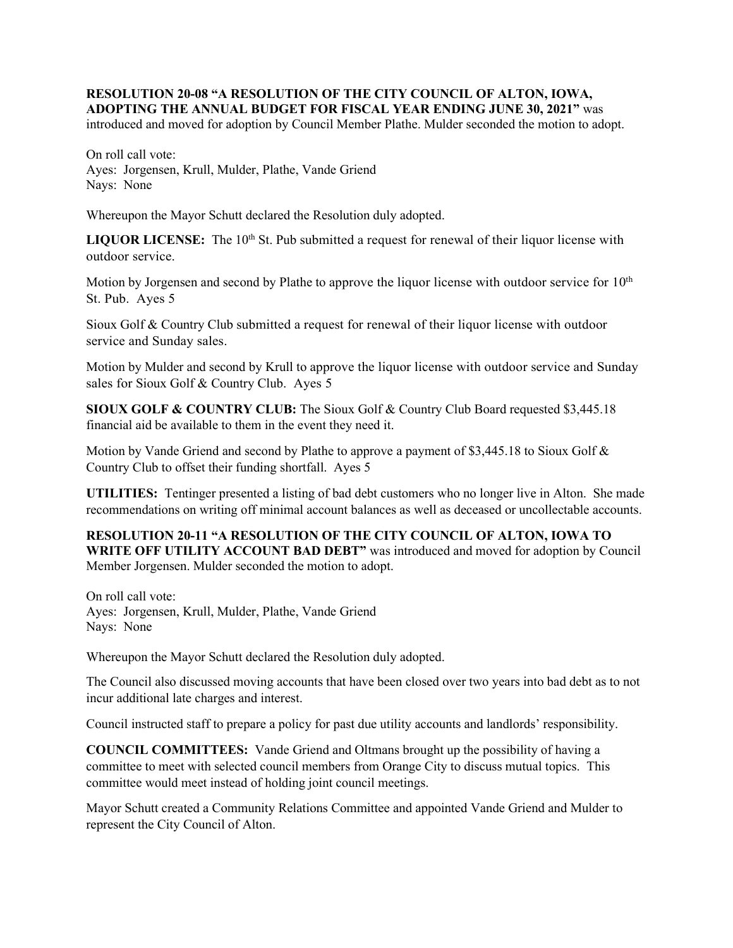## **RESOLUTION 20-08 "A RESOLUTION OF THE CITY COUNCIL OF ALTON, IOWA, ADOPTING THE ANNUAL BUDGET FOR FISCAL YEAR ENDING JUNE 30, 2021"** was

introduced and moved for adoption by Council Member Plathe. Mulder seconded the motion to adopt.

On roll call vote: Ayes: Jorgensen, Krull, Mulder, Plathe, Vande Griend Nays: None

Whereupon the Mayor Schutt declared the Resolution duly adopted.

LIQUOR LICENSE: The 10<sup>th</sup> St. Pub submitted a request for renewal of their liquor license with outdoor service.

Motion by Jorgensen and second by Plathe to approve the liquor license with outdoor service for  $10<sup>th</sup>$ St. Pub. Ayes 5

Sioux Golf & Country Club submitted a request for renewal of their liquor license with outdoor service and Sunday sales.

Motion by Mulder and second by Krull to approve the liquor license with outdoor service and Sunday sales for Sioux Golf & Country Club. Ayes 5

**SIOUX GOLF & COUNTRY CLUB:** The Sioux Golf & Country Club Board requested \$3,445.18 financial aid be available to them in the event they need it.

Motion by Vande Griend and second by Plathe to approve a payment of \$3,445.18 to Sioux Golf & Country Club to offset their funding shortfall. Ayes 5

**UTILITIES:** Tentinger presented a listing of bad debt customers who no longer live in Alton. She made recommendations on writing off minimal account balances as well as deceased or uncollectable accounts.

**RESOLUTION 20-11 "A RESOLUTION OF THE CITY COUNCIL OF ALTON, IOWA TO WRITE OFF UTILITY ACCOUNT BAD DEBT"** was introduced and moved for adoption by Council Member Jorgensen. Mulder seconded the motion to adopt.

On roll call vote: Ayes: Jorgensen, Krull, Mulder, Plathe, Vande Griend Nays: None

Whereupon the Mayor Schutt declared the Resolution duly adopted.

The Council also discussed moving accounts that have been closed over two years into bad debt as to not incur additional late charges and interest.

Council instructed staff to prepare a policy for past due utility accounts and landlords' responsibility.

**COUNCIL COMMITTEES:** Vande Griend and Oltmans brought up the possibility of having a committee to meet with selected council members from Orange City to discuss mutual topics. This committee would meet instead of holding joint council meetings.

Mayor Schutt created a Community Relations Committee and appointed Vande Griend and Mulder to represent the City Council of Alton.